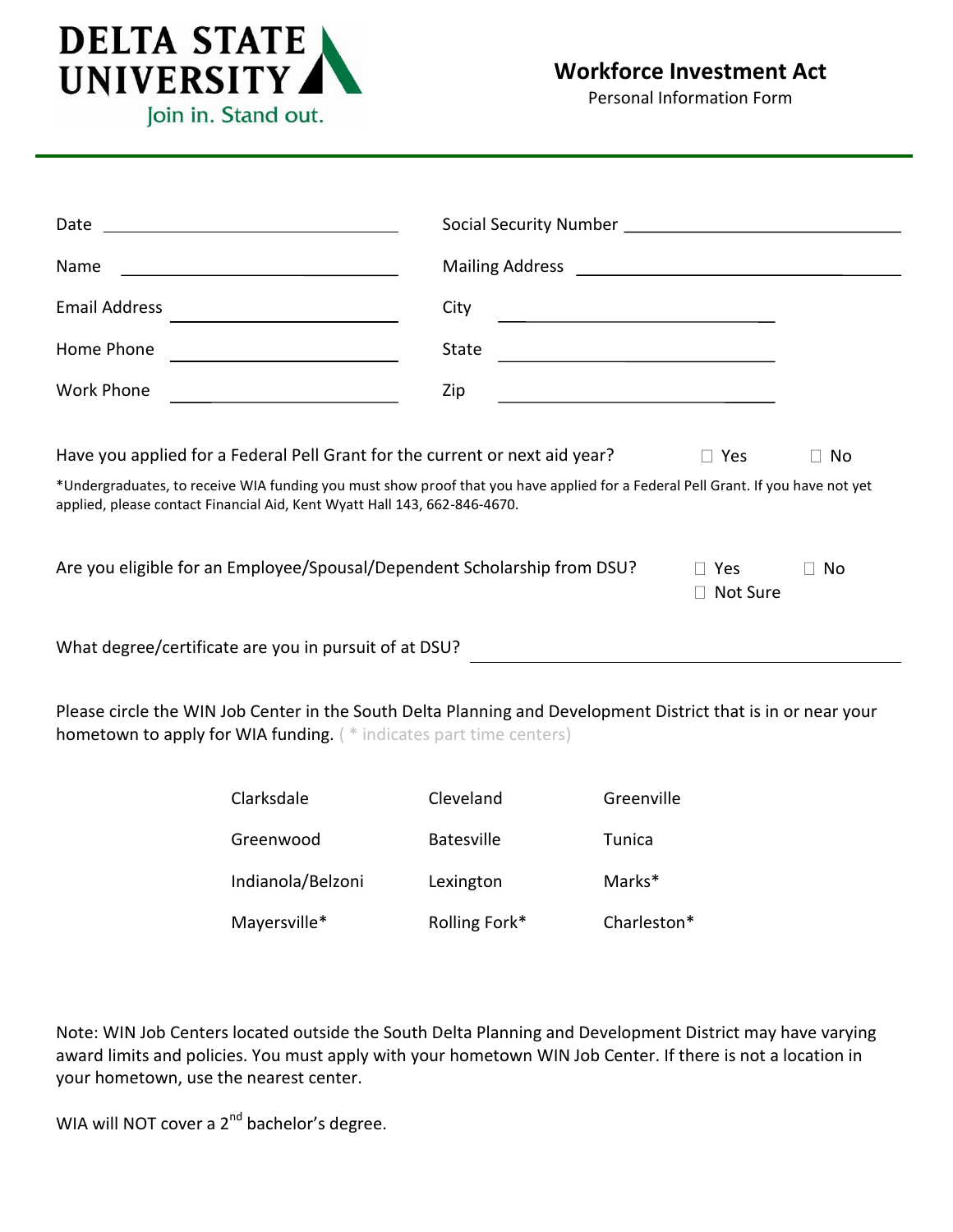

## **Workforce Investment Act**

Personal Information Form

| Date                                                                                                   |                                                                                                                                                                                                              |                   |                                                                                                                      |                        |    |  |
|--------------------------------------------------------------------------------------------------------|--------------------------------------------------------------------------------------------------------------------------------------------------------------------------------------------------------------|-------------------|----------------------------------------------------------------------------------------------------------------------|------------------------|----|--|
| Name                                                                                                   |                                                                                                                                                                                                              |                   |                                                                                                                      |                        |    |  |
| <b>Email Address</b>                                                                                   |                                                                                                                                                                                                              | City              | <u> 1989 - Johann Barbara, martin amerikan basar dan basa dan basar dalam basa dalam basa dalam basa dalam basa </u> |                        |    |  |
| Home Phone                                                                                             |                                                                                                                                                                                                              | State             |                                                                                                                      |                        |    |  |
| <b>Work Phone</b>                                                                                      |                                                                                                                                                                                                              | Zip               | the control of the control of the control of the control of the control of                                           |                        |    |  |
| Have you applied for a Federal Pell Grant for the current or next aid year?<br>$\Box$ Yes<br>$\Box$ No |                                                                                                                                                                                                              |                   |                                                                                                                      |                        |    |  |
|                                                                                                        | *Undergraduates, to receive WIA funding you must show proof that you have applied for a Federal Pell Grant. If you have not yet<br>applied, please contact Financial Aid, Kent Wyatt Hall 143, 662-846-4670. |                   |                                                                                                                      |                        |    |  |
|                                                                                                        |                                                                                                                                                                                                              |                   |                                                                                                                      |                        |    |  |
|                                                                                                        |                                                                                                                                                                                                              |                   |                                                                                                                      |                        |    |  |
|                                                                                                        | Are you eligible for an Employee/Spousal/Dependent Scholarship from DSU?                                                                                                                                     |                   |                                                                                                                      | $\Box$ Yes<br>Not Sure | No |  |
|                                                                                                        | What degree/certificate are you in pursuit of at DSU?                                                                                                                                                        |                   |                                                                                                                      |                        |    |  |
|                                                                                                        | Please circle the WIN Job Center in the South Delta Planning and Development District that is in or near your<br>hometown to apply for WIA funding. (* indicates part time centers)                          |                   |                                                                                                                      |                        |    |  |
|                                                                                                        | Clarksdale                                                                                                                                                                                                   | Cleveland         | Greenville                                                                                                           |                        |    |  |
|                                                                                                        | Greenwood                                                                                                                                                                                                    | <b>Batesville</b> | Tunica                                                                                                               |                        |    |  |

Mayersville\* Rolling Fork\* Charleston\*

Note: WIN Job Centers located outside the South Delta Planning and Development District may have varying award limits and policies. You must apply with your hometown WIN Job Center. If there is not a location in your hometown, use the nearest center.

WIA will NOT cover a 2<sup>nd</sup> bachelor's degree.